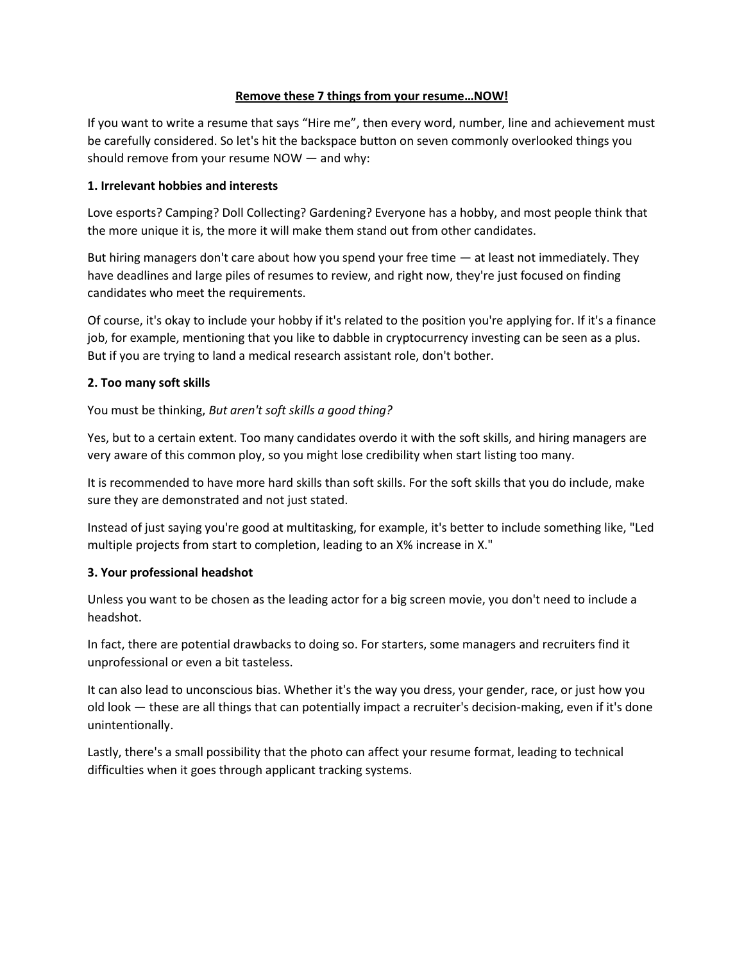## **Remove these 7 things from your resume…NOW!**

If you want to write a resume that says "Hire me", then every word, number, line and achievement must be carefully considered. So let's hit the backspace button on seven commonly overlooked things you should remove from your resume NOW — and why:

## **1. Irrelevant hobbies and interests**

Love esports? Camping? Doll Collecting? Gardening? Everyone has a hobby, and most people think that the more unique it is, the more it will make them stand out from other candidates.

But hiring managers don't care about how you spend your free time — at least not immediately. They have deadlines and large piles of resumes to review, and right now, they're just focused on finding candidates who meet the requirements.

Of course, it's okay to include your hobby if it's related to the position you're applying for. If it's a finance job, for example, mentioning that you like to dabble in cryptocurrency investing can be seen as a plus. But if you are trying to land a medical research assistant role, don't bother.

## **2. Too many soft skills**

You must be thinking, *But aren't soft skills a good thing?*

Yes, but to a certain extent. Too many candidates overdo it with the soft skills, and hiring managers are very aware of this common ploy, so you might lose credibility when start listing too many.

It is recommended to have more hard skills than soft skills. For the soft skills that you do include, make sure they are demonstrated and not just stated.

Instead of just saying you're good at multitasking, for example, it's better to include something like, "Led multiple projects from start to completion, leading to an X% increase in X."

# **3. Your professional headshot**

Unless you want to be chosen as the leading actor for a big screen movie, you don't need to include a headshot.

In fact, there are potential drawbacks to doing so. For starters, some managers and recruiters find it unprofessional or even a bit tasteless.

It can also lead to unconscious bias. Whether it's the way you dress, your gender, race, or just how you old look — these are all things that can potentially impact a recruiter's decision-making, even if it's done unintentionally.

Lastly, there's a small possibility that the photo can affect your resume format, leading to technical difficulties when it goes through applicant tracking systems.